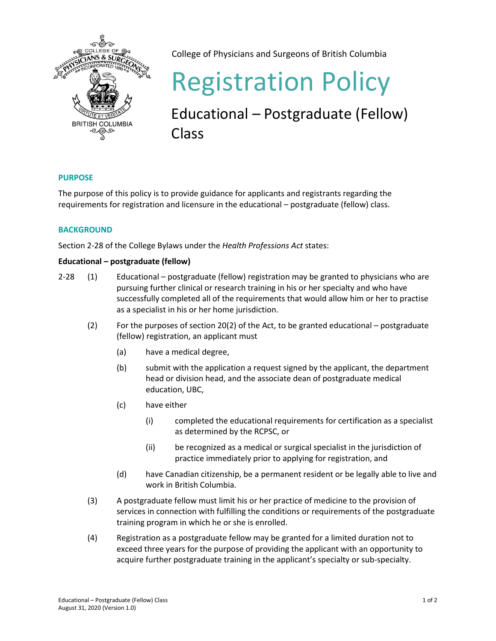

College of Physicians and Surgeons of British Columbia

# Registration Policy

Educational – Postgraduate (Fellow) Class

## **PURPOSE**

The purpose of this policy is to provide guidance for applicants and registrants regarding the requirements for registration and licensure in the educational – postgraduate (fellow) class.

## **BACKGROUND**

Section 2-28 of the College Bylaws under the *Health Professions Act* states:

## **Educational – postgraduate (fellow)**

- 2-28 (1) Educational postgraduate (fellow) registration may be granted to physicians who are pursuing further clinical or research training in his or her specialty and who have successfully completed all of the requirements that would allow him or her to practise as a specialist in his or her home jurisdiction.
	- (2) For the purposes of section 20(2) of the Act, to be granted educational postgraduate (fellow) registration, an applicant must
		- (a) have a medical degree,
		- (b) submit with the application a request signed by the applicant, the department head or division head, and the associate dean of postgraduate medical education, UBC,
		- (c) have either
			- (i) completed the educational requirements for certification as a specialist as determined by the RCPSC, or
			- (ii) be recognized as a medical or surgical specialist in the jurisdiction of practice immediately prior to applying for registration, and
		- (d) have Canadian citizenship, be a permanent resident or be legally able to live and work in British Columbia.
	- (3) A postgraduate fellow must limit his or her practice of medicine to the provision of services in connection with fulfilling the conditions or requirements of the postgraduate training program in which he or she is enrolled.
	- (4) Registration as a postgraduate fellow may be granted for a limited duration not to exceed three years for the purpose of providing the applicant with an opportunity to acquire further postgraduate training in the applicant's specialty or sub-specialty.